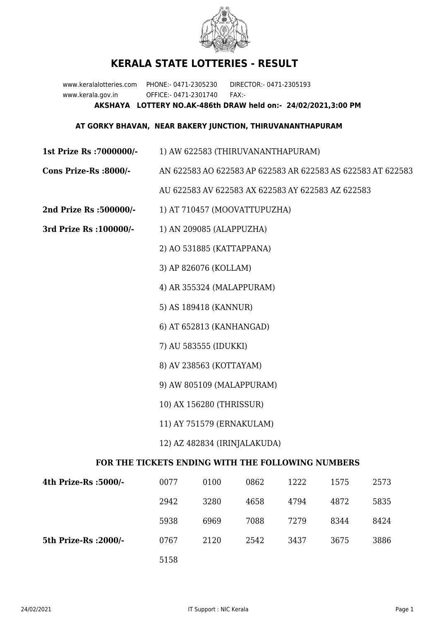

## **KERALA STATE LOTTERIES - RESULT**

www.keralalotteries.com PHONE:- 0471-2305230 DIRECTOR:- 0471-2305193 www.kerala.gov.in OFFICE:- 0471-2301740 FAX:- **AKSHAYA LOTTERY NO.AK-486th DRAW held on:- 24/02/2021,3:00 PM**

## **AT GORKY BHAVAN, NEAR BAKERY JUNCTION, THIRUVANANTHAPURAM**

**1st Prize Rs :7000000/-** 1) AW 622583 (THIRUVANANTHAPURAM)

## **Cons Prize-Rs :8000/-** AN 622583 AO 622583 AP 622583 AR 622583 AS 622583 AT 622583

AU 622583 AV 622583 AX 622583 AY 622583 AZ 622583

- **2nd Prize Rs :500000/-** 1) AT 710457 (MOOVATTUPUZHA)
- **3rd Prize Rs :100000/-** 1) AN 209085 (ALAPPUZHA)

2) AO 531885 (KATTAPPANA)

- 3) AP 826076 (KOLLAM)
- 4) AR 355324 (MALAPPURAM)
- 5) AS 189418 (KANNUR)
- 6) AT 652813 (KANHANGAD)
- 7) AU 583555 (IDUKKI)
- 8) AV 238563 (KOTTAYAM)
- 9) AW 805109 (MALAPPURAM)
- 10) AX 156280 (THRISSUR)
- 11) AY 751579 (ERNAKULAM)
- 12) AZ 482834 (IRINJALAKUDA)

## **FOR THE TICKETS ENDING WITH THE FOLLOWING NUMBERS**

| 4th Prize-Rs :5000/-  | 0077 | 0100 | 0862 | 1222 | 1575 | 2573 |
|-----------------------|------|------|------|------|------|------|
|                       | 2942 | 3280 | 4658 | 4794 | 4872 | 5835 |
|                       | 5938 | 6969 | 7088 | 7279 | 8344 | 8424 |
| 5th Prize-Rs : 2000/- | 0767 | 2120 | 2542 | 3437 | 3675 | 3886 |
|                       | 5158 |      |      |      |      |      |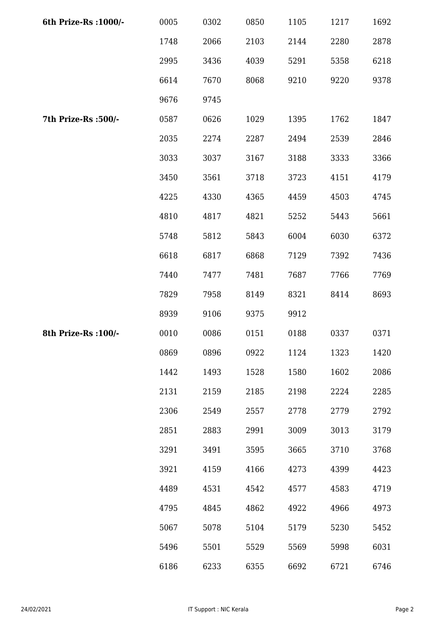| 6th Prize-Rs : 1000/- | 0005 | 0302 | 0850 | 1105 | 1217 | 1692 |
|-----------------------|------|------|------|------|------|------|
|                       | 1748 | 2066 | 2103 | 2144 | 2280 | 2878 |
|                       | 2995 | 3436 | 4039 | 5291 | 5358 | 6218 |
|                       | 6614 | 7670 | 8068 | 9210 | 9220 | 9378 |
|                       | 9676 | 9745 |      |      |      |      |
| 7th Prize-Rs :500/-   | 0587 | 0626 | 1029 | 1395 | 1762 | 1847 |
|                       | 2035 | 2274 | 2287 | 2494 | 2539 | 2846 |
|                       | 3033 | 3037 | 3167 | 3188 | 3333 | 3366 |
|                       | 3450 | 3561 | 3718 | 3723 | 4151 | 4179 |
|                       | 4225 | 4330 | 4365 | 4459 | 4503 | 4745 |
|                       | 4810 | 4817 | 4821 | 5252 | 5443 | 5661 |
|                       | 5748 | 5812 | 5843 | 6004 | 6030 | 6372 |
|                       | 6618 | 6817 | 6868 | 7129 | 7392 | 7436 |
|                       | 7440 | 7477 | 7481 | 7687 | 7766 | 7769 |
|                       | 7829 | 7958 | 8149 | 8321 | 8414 | 8693 |
|                       | 8939 | 9106 | 9375 | 9912 |      |      |
| 8th Prize-Rs : 100/-  | 0010 | 0086 | 0151 | 0188 | 0337 | 0371 |
|                       | 0869 | 0896 | 0922 | 1124 | 1323 | 1420 |
|                       | 1442 | 1493 | 1528 | 1580 | 1602 | 2086 |
|                       | 2131 | 2159 | 2185 | 2198 | 2224 | 2285 |
|                       | 2306 | 2549 | 2557 | 2778 | 2779 | 2792 |
|                       | 2851 | 2883 | 2991 | 3009 | 3013 | 3179 |
|                       | 3291 | 3491 | 3595 | 3665 | 3710 | 3768 |
|                       | 3921 | 4159 | 4166 | 4273 | 4399 | 4423 |
|                       | 4489 | 4531 | 4542 | 4577 | 4583 | 4719 |
|                       | 4795 | 4845 | 4862 | 4922 | 4966 | 4973 |
|                       | 5067 | 5078 | 5104 | 5179 | 5230 | 5452 |
|                       | 5496 | 5501 | 5529 | 5569 | 5998 | 6031 |
|                       | 6186 | 6233 | 6355 | 6692 | 6721 | 6746 |